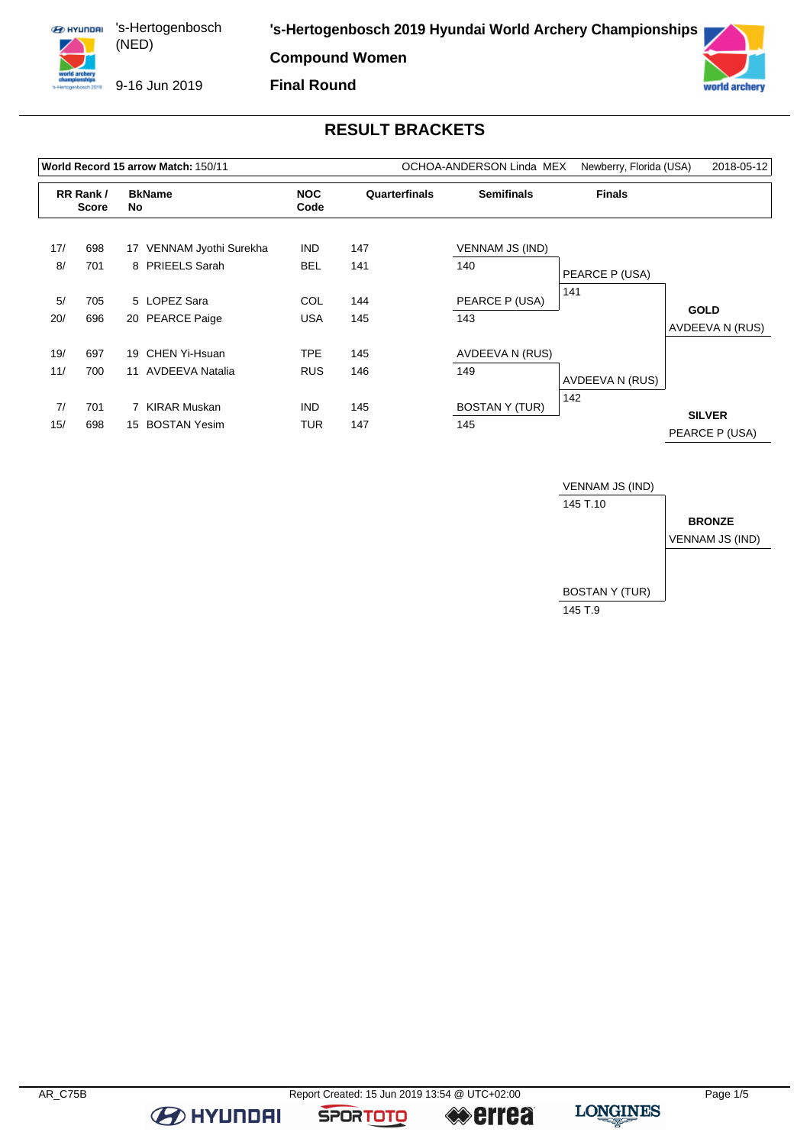

**Compound Women**

9-16 Jun 2019

**Final Round**



## **RESULT BRACKETS**

| World Record 15 arrow Match: 150/11 |                          |    |                                 |                    |               | OCHOA-ANDERSON Linda MEX | Newberry, Florida (USA) | 2018-05-12      |
|-------------------------------------|--------------------------|----|---------------------------------|--------------------|---------------|--------------------------|-------------------------|-----------------|
|                                     | RR Rank/<br><b>Score</b> | No | <b>BkName</b>                   | <b>NOC</b><br>Code | Quarterfinals | <b>Semifinals</b>        | <b>Finals</b>           |                 |
| 17/                                 | 698                      | 17 | VENNAM Jyothi Surekha           | <b>IND</b>         | 147           | <b>VENNAM JS (IND)</b>   |                         |                 |
| 8/                                  | 701                      |    | 8 PRIEELS Sarah                 | <b>BEL</b>         | 141           | 140                      | PEARCE P (USA)          |                 |
| 5/<br>20/                           | 705<br>696               |    | 5 LOPEZ Sara<br>20 PEARCE Paige | COL<br>USA         | 144<br>145    | PEARCE P (USA)<br>143    | 141                     | <b>GOLD</b>     |
|                                     |                          |    |                                 |                    |               |                          |                         | AVDEEVA N (RUS) |
| 19/                                 | 697                      | 19 | CHEN Yi-Hsuan                   | TPE                | 145           | AVDEEVA N (RUS)          |                         |                 |
| 11/                                 | 700                      | 11 | <b>AVDEEVA Natalia</b>          | <b>RUS</b>         | 146           | 149                      | AVDEEVA N (RUS)         |                 |
| 7/                                  | 701                      |    | 7 KIRAR Muskan                  | <b>IND</b>         | 145           | <b>BOSTAN Y (TUR)</b>    | 142                     | <b>SILVER</b>   |
| 15/                                 | 698                      | 15 | <b>BOSTAN Yesim</b>             | TUR                | 147           | 145                      |                         | PEARCE P (USA)  |



**B** HYUNDAI

**SPORTOTO** 

**errea**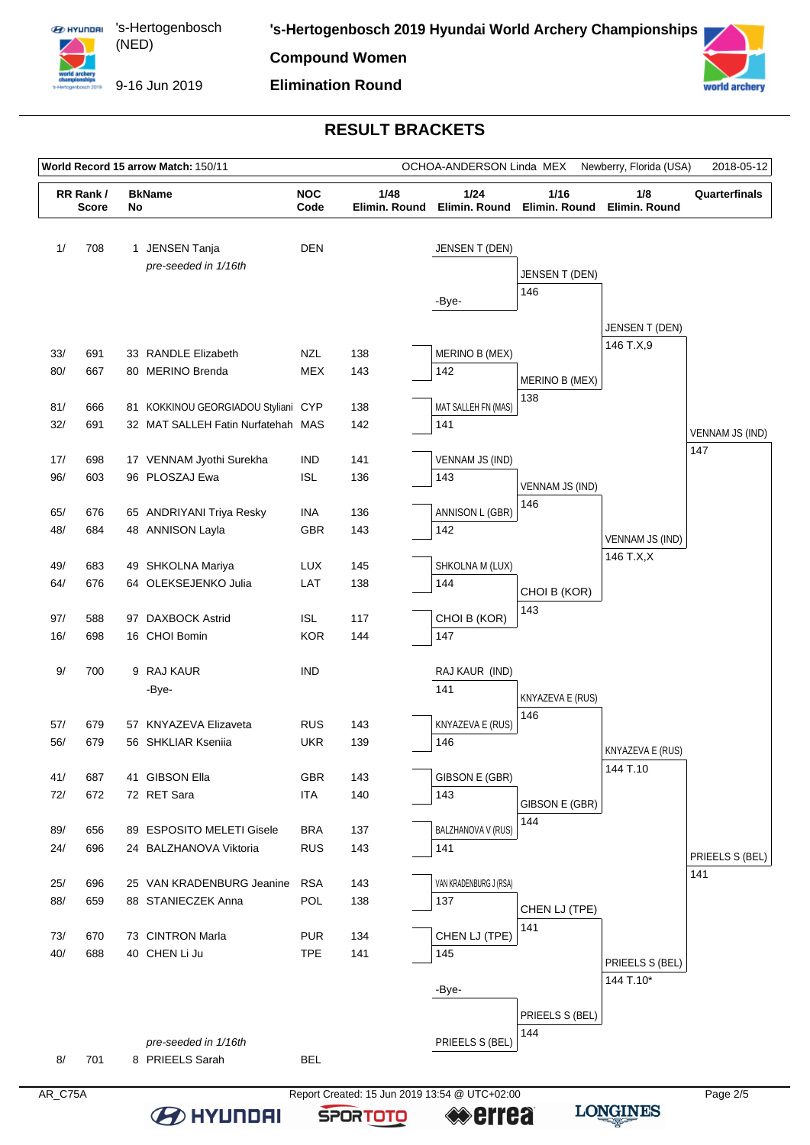

# **Elimination Round**



### **RESULT BRACKETS**

| World Record 15 arrow Match: 150/11 |                           |    |                                        |                          | Newberry, Florida (USA)<br>2018-05-12<br>OCHOA-ANDERSON Linda MEX |                        |                         |                             |                        |  |
|-------------------------------------|---------------------------|----|----------------------------------------|--------------------------|-------------------------------------------------------------------|------------------------|-------------------------|-----------------------------|------------------------|--|
|                                     | RR Rank /<br><b>Score</b> | No | <b>BkName</b>                          | <b>NOC</b><br>Code       | 1/48<br>Elimin. Round                                             | 1/24<br>Elimin. Round  | $1/16$<br>Elimin. Round | 1/8<br>Elimin. Round        | Quarterfinals          |  |
| 1/                                  | 708                       |    | 1 JENSEN Tanja<br>pre-seeded in 1/16th | <b>DEN</b>               |                                                                   | JENSEN T (DEN)         | JENSEN T (DEN)          |                             |                        |  |
|                                     |                           |    |                                        |                          |                                                                   | -Bye-                  | 146                     |                             |                        |  |
|                                     |                           |    |                                        |                          |                                                                   |                        |                         |                             |                        |  |
|                                     |                           |    |                                        |                          |                                                                   |                        |                         | JENSEN T (DEN)<br>146 T.X,9 |                        |  |
| 33/                                 | 691                       |    | 33 RANDLE Elizabeth                    | <b>NZL</b>               | 138                                                               | MERINO B (MEX)         |                         |                             |                        |  |
| 80/                                 | 667                       |    | 80 MERINO Brenda                       | <b>MEX</b>               | 143                                                               | 142                    | MERINO B (MEX)          |                             |                        |  |
| 81/                                 | 666                       |    | 81 KOKKINOU GEORGIADOU Styliani CYP    |                          | 138                                                               | MAT SALLEH FN (MAS)    | 138                     |                             |                        |  |
| 32/                                 | 691                       |    | 32 MAT SALLEH Fatin Nurfatehah MAS     |                          | 142                                                               | 141                    |                         |                             |                        |  |
|                                     |                           |    |                                        |                          |                                                                   |                        |                         |                             | VENNAM JS (IND)<br>147 |  |
| 17/                                 | 698                       |    | 17 VENNAM Jyothi Surekha               | <b>IND</b>               | 141                                                               | <b>VENNAM JS (IND)</b> |                         |                             |                        |  |
| 96/                                 | 603                       |    | 96 PLOSZAJ Ewa                         | <b>ISL</b>               | 136                                                               | 143                    | <b>VENNAM JS (IND)</b>  |                             |                        |  |
| 65/                                 | 676                       |    | 65 ANDRIYANI Triya Resky               | <b>INA</b>               | 136                                                               | ANNISON L (GBR)        | 146                     |                             |                        |  |
| 48/                                 | 684                       |    | 48 ANNISON Layla                       | GBR                      | 143                                                               | 142                    |                         |                             |                        |  |
|                                     |                           |    |                                        |                          |                                                                   |                        |                         | VENNAM JS (IND)             |                        |  |
| 49/                                 | 683                       |    | 49 SHKOLNA Mariya                      | <b>LUX</b>               | 145                                                               | SHKOLNA M (LUX)        |                         | 146 T.X,X                   |                        |  |
| 64/                                 | 676                       |    | 64 OLEKSEJENKO Julia                   | LAT                      | 138                                                               | 144                    | CHOI B (KOR)            |                             |                        |  |
|                                     |                           |    |                                        |                          |                                                                   |                        | 143                     |                             |                        |  |
| 97/<br>16/                          | 588<br>698                |    | 97 DAXBOCK Astrid<br>16 CHOI Bomin     | <b>ISL</b><br><b>KOR</b> | 117<br>144                                                        | CHOI B (KOR)<br>147    |                         |                             |                        |  |
|                                     |                           |    |                                        |                          |                                                                   |                        |                         |                             |                        |  |
| 9/                                  | 700                       |    | 9 RAJ KAUR                             | <b>IND</b>               |                                                                   | RAJ KAUR (IND)         |                         |                             |                        |  |
|                                     |                           |    | -Bye-                                  |                          |                                                                   | 141                    | KNYAZEVA E (RUS)        |                             |                        |  |
|                                     |                           |    |                                        |                          |                                                                   |                        | 146                     |                             |                        |  |
| 57/                                 | 679                       |    | 57 KNYAZEVA Elizaveta                  | <b>RUS</b>               | 143                                                               | KNYAZEVA E (RUS)       |                         |                             |                        |  |
| 56/                                 | 679                       |    | 56 SHKLIAR Kseniia                     | <b>UKR</b>               | 139                                                               | 146                    |                         | KNYAZEVA E (RUS)            |                        |  |
| 41/                                 | 687                       |    | 41 GIBSON Ella                         | GBR                      | 143                                                               | GIBSON E (GBR)         |                         | 144 T.10                    |                        |  |
| 72/                                 | 672                       |    | 72 RET Sara                            | <b>ITA</b>               | 140                                                               | 143                    |                         |                             |                        |  |
|                                     |                           |    |                                        |                          |                                                                   |                        | GIBSON E (GBR)<br>144   |                             |                        |  |
| 89/                                 | 656                       |    | 89 ESPOSITO MELETI Gisele              | <b>BRA</b>               | 137                                                               | BALZHANOVA V (RUS)     |                         |                             |                        |  |
| 24/                                 | 696                       |    | 24 BALZHANOVA Viktoria                 | <b>RUS</b>               | 143                                                               | 141                    |                         |                             | PRIEELS S (BEL)        |  |
| 25/                                 | 696                       |    | 25 VAN KRADENBURG Jeanine              | <b>RSA</b>               | 143                                                               | VAN KRADENBURG J (RSA) |                         |                             | 141                    |  |
| 88/                                 | 659                       |    | 88 STANIECZEK Anna                     | POL                      | 138                                                               | 137                    |                         |                             |                        |  |
|                                     |                           |    |                                        |                          |                                                                   |                        | CHEN LJ (TPE)<br>141    |                             |                        |  |
| 73/                                 | 670                       |    | 73 CINTRON Marla                       | <b>PUR</b>               | 134                                                               | CHEN LJ (TPE)          |                         |                             |                        |  |
| 40/                                 | 688                       |    | 40 CHEN Li Ju                          | <b>TPE</b>               | 141                                                               | 145                    |                         | PRIEELS S (BEL)             |                        |  |
|                                     |                           |    |                                        |                          |                                                                   |                        |                         | 144 T.10*                   |                        |  |
|                                     |                           |    |                                        |                          |                                                                   | -Bye-                  |                         |                             |                        |  |
|                                     |                           |    |                                        |                          |                                                                   |                        | PRIEELS S (BEL)         |                             |                        |  |
|                                     |                           |    | pre-seeded in 1/16th                   |                          |                                                                   | PRIEELS S (BEL)        | 144                     |                             |                        |  |
| 8/                                  | 701                       |    | 8 PRIEELS Sarah                        | <b>BEL</b>               |                                                                   |                        |                         |                             |                        |  |
|                                     |                           |    |                                        |                          |                                                                   |                        |                         |                             |                        |  |

**SPORTOTO** 

**LONGINES**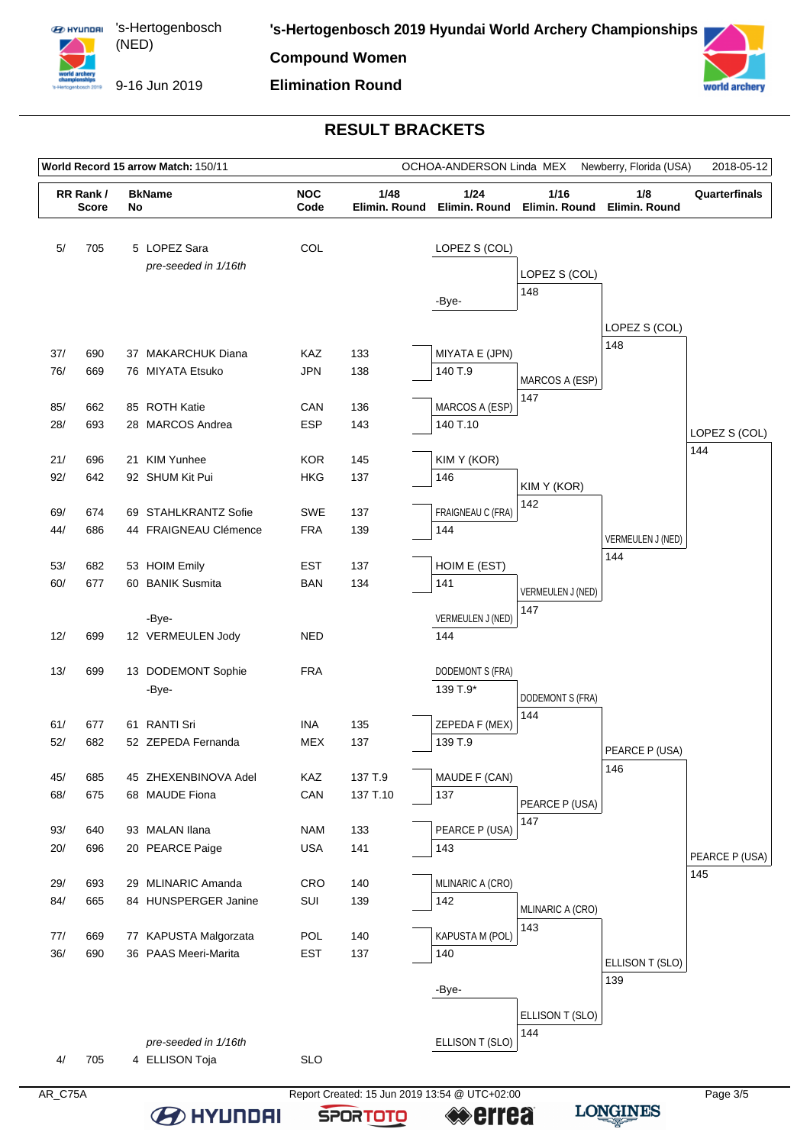

9-16 Jun 2019

#### **RESULT BRACKETS**

**Elimination Round**



**BEITHER** 

**SPORTOTO** 

**«≫errea** 

**LONGINES** 

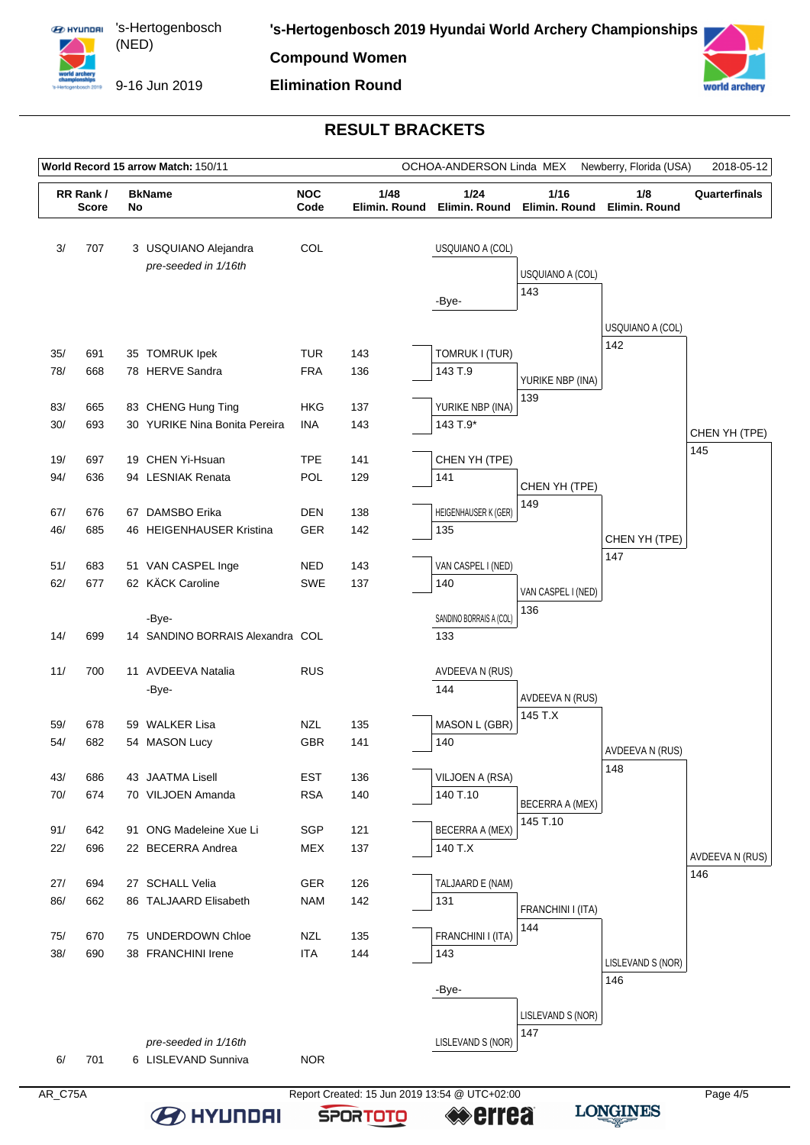

**Compound Women**

**Elimination Round**



### **RESULT BRACKETS**

| World Record 15 arrow Match: 150/11<br>OCHOA-ANDERSON Linda MEX |                          |    |                                              |                          |                       |                           | Newberry, Florida (USA)                           | 2018-05-12        |                 |
|-----------------------------------------------------------------|--------------------------|----|----------------------------------------------|--------------------------|-----------------------|---------------------------|---------------------------------------------------|-------------------|-----------------|
|                                                                 | RR Rank/<br><b>Score</b> | No | <b>BkName</b>                                | <b>NOC</b><br>Code       | 1/48<br>Elimin. Round | 1/24                      | 1/16<br>Elimin. Round Elimin. Round Elimin. Round | 1/8               | Quarterfinals   |
| 3/                                                              | 707                      |    | 3 USQUIANO Alejandra<br>pre-seeded in 1/16th | COL                      |                       | USQUIANO A (COL)          |                                                   |                   |                 |
|                                                                 |                          |    |                                              |                          |                       |                           | USQUIANO A (COL)                                  |                   |                 |
|                                                                 |                          |    |                                              |                          |                       | -Bye-                     | 143                                               |                   |                 |
|                                                                 |                          |    |                                              |                          |                       |                           |                                                   | USQUIANO A (COL)  |                 |
|                                                                 |                          |    |                                              |                          |                       |                           |                                                   | 142               |                 |
| 35/                                                             | 691                      |    | 35 TOMRUK Ipek                               | TUR                      | 143                   | TOMRUK I (TUR)            |                                                   |                   |                 |
| 78/                                                             | 668                      |    | 78 HERVE Sandra                              | <b>FRA</b>               | 136                   | 143 T.9                   | YURIKE NBP (INA)                                  |                   |                 |
| 83/                                                             | 665                      |    | 83 CHENG Hung Ting                           | <b>HKG</b>               | 137                   | YURIKE NBP (INA)          | 139                                               |                   |                 |
| 30/                                                             | 693                      |    | 30 YURIKE Nina Bonita Pereira                | <b>INA</b>               | 143                   | 143 T.9*                  |                                                   |                   |                 |
|                                                                 |                          |    |                                              |                          |                       |                           |                                                   |                   | CHEN YH (TPE)   |
| 19/                                                             | 697                      |    | 19 CHEN Yi-Hsuan                             | <b>TPE</b>               | 141                   | CHEN YH (TPE)             |                                                   |                   | 145             |
| 94/                                                             | 636                      |    | 94 LESNIAK Renata                            | POL                      | 129                   | 141                       | CHEN YH (TPE)                                     |                   |                 |
|                                                                 |                          |    |                                              |                          |                       |                           | 149                                               |                   |                 |
| 67/                                                             | 676                      |    | 67 DAMSBO Erika                              | <b>DEN</b>               | 138                   | HEIGENHAUSER K (GER)      |                                                   |                   |                 |
| 46/                                                             | 685                      |    | 46 HEIGENHAUSER Kristina                     | <b>GER</b>               | 142                   | 135                       |                                                   | CHEN YH (TPE)     |                 |
|                                                                 |                          |    |                                              |                          |                       |                           |                                                   | 147               |                 |
| 51/<br>62/                                                      | 683<br>677               |    | 51 VAN CASPEL Inge<br>62 KÄCK Caroline       | <b>NED</b><br>SWE        | 143<br>137            | VAN CASPEL I (NED)<br>140 |                                                   |                   |                 |
|                                                                 |                          |    |                                              |                          |                       |                           | VAN CASPEL I (NED)                                |                   |                 |
|                                                                 |                          |    | -Bye-                                        |                          |                       | SANDINO BORRAIS A (COL)   | 136                                               |                   |                 |
| 14/                                                             | 699                      |    | 14 SANDINO BORRAIS Alexandra COL             |                          |                       | 133                       |                                                   |                   |                 |
|                                                                 |                          |    |                                              |                          |                       |                           |                                                   |                   |                 |
| 11/                                                             | 700                      |    | 11 AVDEEVA Natalia                           | <b>RUS</b>               |                       | AVDEEVA N (RUS)           |                                                   |                   |                 |
|                                                                 |                          |    | -Bye-                                        |                          |                       | 144                       | AVDEEVA N (RUS)                                   |                   |                 |
|                                                                 |                          |    |                                              |                          |                       |                           | 145 T.X                                           |                   |                 |
| 59/                                                             | 678                      |    | 59 WALKER Lisa                               | <b>NZL</b>               | 135                   | MASON L (GBR)             |                                                   |                   |                 |
| 54/                                                             | 682                      |    | 54 MASON Lucy                                | GBR                      | 141                   | 140                       |                                                   | AVDEEVA N (RUS)   |                 |
| 43/                                                             | 686                      |    | 43 JAATMA Lisell                             | <b>EST</b>               | 136                   | VILJOEN A (RSA)           |                                                   | 148               |                 |
| 70/                                                             | 674                      |    | 70 VILJOEN Amanda                            | <b>RSA</b>               | 140                   | 140 T.10                  |                                                   |                   |                 |
|                                                                 |                          |    |                                              |                          |                       |                           | BECERRA A (MEX)                                   |                   |                 |
| 91/                                                             | 642                      |    | 91 ONG Madeleine Xue Li                      | SGP                      | 121                   | BECERRA A (MEX)           | 145 T.10                                          |                   |                 |
| 22/                                                             | 696                      |    | 22 BECERRA Andrea                            | MEX                      | 137                   | 140 T.X                   |                                                   |                   | AVDEEVA N (RUS) |
|                                                                 |                          |    |                                              |                          |                       |                           |                                                   |                   | 146             |
| 27/                                                             | 694                      |    | 27 SCHALL Velia                              | <b>GER</b>               | 126                   | TALJAARD E (NAM)          |                                                   |                   |                 |
| 86/                                                             | 662                      |    | 86 TALJAARD Elisabeth                        | <b>NAM</b>               | 142                   | 131                       | FRANCHINI I (ITA)                                 |                   |                 |
|                                                                 |                          |    |                                              |                          |                       |                           | 144                                               |                   |                 |
| 75/<br>38/                                                      | 670<br>690               |    | 75 UNDERDOWN Chloe<br>38 FRANCHINI Irene     | <b>NZL</b><br><b>ITA</b> | 135<br>144            | FRANCHINI I (ITA)<br>143  |                                                   |                   |                 |
|                                                                 |                          |    |                                              |                          |                       |                           |                                                   | LISLEVAND S (NOR) |                 |
|                                                                 |                          |    |                                              |                          |                       | -Bye-                     |                                                   | 146               |                 |
|                                                                 |                          |    |                                              |                          |                       |                           |                                                   |                   |                 |
|                                                                 |                          |    |                                              |                          |                       |                           | LISLEVAND S (NOR)                                 |                   |                 |
|                                                                 |                          |    | pre-seeded in 1/16th                         |                          |                       | LISLEVAND S (NOR)         | 147                                               |                   |                 |
| 6/                                                              | 701                      |    | 6 LISLEVAND Sunniva                          | <b>NOR</b>               |                       |                           |                                                   |                   |                 |
|                                                                 |                          |    |                                              |                          |                       |                           |                                                   |                   |                 |

AR\_C75A Report Created: 15 Jun 2019 13:54 @ UTC+02:00 **B** HYUNDAI **errea** 

**SPORTOTO** 

**LONGINES**